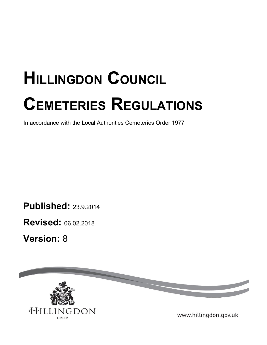# **HILLINGDON COUNCIL CEMETERIES REGULATIONS**

In accordance with the Local Authorities Cemeteries Order 1977

**Published:** 23.9.2014

**Revised:** 06.02.2018

**Version:** 8

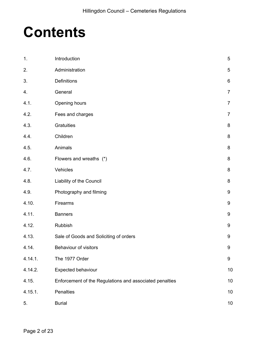# **Contents**

| 1.      | Introduction                                            | 5              |
|---------|---------------------------------------------------------|----------------|
| 2.      | Administration                                          | 5              |
| 3.      | Definitions                                             | 6              |
| 4.      | General                                                 | $\overline{7}$ |
| 4.1.    | Opening hours                                           | $\overline{7}$ |
| 4.2.    | Fees and charges                                        | $\overline{7}$ |
| 4.3.    | Gratuities                                              | 8              |
| 4.4.    | Children                                                | 8              |
| 4.5.    | Animals                                                 | 8              |
| 4.6.    | Flowers and wreaths (*)                                 | 8              |
| 4.7.    | Vehicles                                                | 8              |
| 4.8.    | Liability of the Council                                | 8              |
| 4.9.    | Photography and filming                                 | 9              |
| 4.10.   | Firearms                                                | 9              |
| 4.11.   | <b>Banners</b>                                          | 9              |
| 4.12.   | Rubbish                                                 | 9              |
| 4.13.   | Sale of Goods and Soliciting of orders                  | 9              |
| 4.14.   | Behaviour of visitors                                   | 9              |
| 4.14.1. | The 1977 Order                                          | 9              |
| 4.14.2. | Expected behaviour                                      | 10             |
| 4.15.   | Enforcement of the Regulations and associated penalties | 10             |
| 4.15.1. | Penalties                                               | 10             |
| 5.      | <b>Burial</b>                                           | 10             |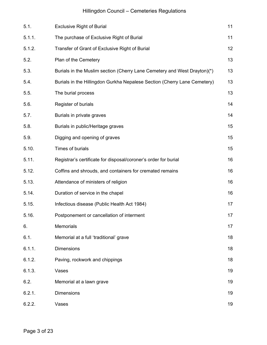# Hillingdon Council – Cemeteries Regulations

| 5.1.   | <b>Exclusive Right of Burial</b>                                         | 11 |
|--------|--------------------------------------------------------------------------|----|
| 5.1.1. | The purchase of Exclusive Right of Burial                                | 11 |
| 5.1.2. | Transfer of Grant of Exclusive Right of Burial                           | 12 |
| 5.2.   | Plan of the Cemetery                                                     | 13 |
| 5.3.   | Burials in the Muslim section (Cherry Lane Cemetery and West Drayton)(*) | 13 |
| 5.4.   | Burials in the Hillingdon Gurkha Nepalese Section (Cherry Lane Cemetery) | 13 |
| 5.5.   | The burial process                                                       | 13 |
| 5.6.   | Register of burials                                                      | 14 |
| 5.7.   | Burials in private graves                                                | 14 |
| 5.8.   | Burials in public/Heritage graves                                        | 15 |
| 5.9.   | Digging and opening of graves                                            | 15 |
| 5.10.  | Times of burials                                                         | 15 |
| 5.11.  | Registrar's certificate for disposal/coroner's order for burial          | 16 |
| 5.12.  | Coffins and shrouds, and containers for cremated remains                 | 16 |
| 5.13.  | Attendance of ministers of religion                                      | 16 |
| 5.14.  | Duration of service in the chapel                                        | 16 |
| 5.15.  | Infectious disease (Public Health Act 1984)                              | 17 |
| 5.16.  | Postponement or cancellation of interment                                | 17 |
| 6.     | Memorials                                                                | 17 |
| 6.1.   | Memorial at a full 'traditional' grave                                   | 18 |
| 6.1.1. | Dimensions                                                               | 18 |
| 6.1.2. | Paving, rockwork and chippings                                           | 18 |
| 6.1.3. | Vases                                                                    | 19 |
| 6.2.   | Memorial at a lawn grave                                                 | 19 |
| 6.2.1. | <b>Dimensions</b>                                                        | 19 |
| 6.2.2. | Vases                                                                    | 19 |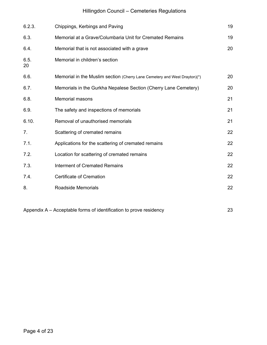# Hillingdon Council – Cemeteries Regulations

| 6.2.3.         | Chippings, Kerbings and Paving                                            | 19 |
|----------------|---------------------------------------------------------------------------|----|
| 6.3.           | Memorial at a Grave/Columbaria Unit for Cremated Remains                  | 19 |
| 6.4.           | Memorial that is not associated with a grave                              | 20 |
| 6.5.<br>20     | Memorial in children's section                                            |    |
| 6.6.           | Memorial in the Muslim section (Cherry Lane Cemetery and West Drayton)(*) | 20 |
| 6.7.           | Memorials in the Gurkha Nepalese Section (Cherry Lane Cemetery)           | 20 |
| 6.8.           | <b>Memorial masons</b>                                                    | 21 |
| 6.9.           | The safety and inspections of memorials                                   | 21 |
| 6.10.          | Removal of unauthorised memorials                                         | 21 |
| 7 <sub>1</sub> | Scattering of cremated remains                                            | 22 |
| 7.1.           | Applications for the scattering of cremated remains                       | 22 |
| 7.2.           | Location for scattering of cremated remains                               | 22 |
| 7.3.           | <b>Interment of Cremated Remains</b>                                      | 22 |
| 7.4.           | <b>Certificate of Cremation</b>                                           | 22 |
| 8.             | <b>Roadside Memorials</b>                                                 | 22 |
|                |                                                                           |    |

Appendix A – Acceptable forms of identification to prove residency 23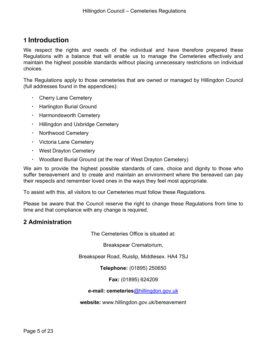# **1 Introduction**

We respect the rights and needs of the individual and have therefore prepared these Regulations with a balance that will enable us to manage the Cemeteries effectively and maintain the highest possible standards without placing unnecessary restrictions on individual choices.

The Regulations apply to those cemeteries that are owned or managed by Hillingdon Council (full addresses found in the appendices):

- Cherry Lane Cemetery
- Harlington Burial Ground
- Harmondsworth Cemetery
- **· Hillingdon and Uxbridge Cemetery**
- Northwood Cemetery
- Victoria Lane Cemetery
- West Drayton Cemetery
- Woodland Burial Ground (at the rear of West Drayton Cemetery)

We aim to provide the highest possible standards of care, choice and dignity to those who suffer bereavement and to create and maintain an environment where the bereaved can pay their respects and remember loved ones in the ways they feel most appropriate.

To assist with this, all visitors to our Cemeteries must follow these Regulations.

Please be aware that the Council reserve the right to change these Regulations from time to time and that compliance with any change is required.

#### **2 Administration**

The Cemeteries Office is situated at:

Breakspear Crematorium,

Breakspear Road, Ruislip, Middlesex. HA4 7SJ

**Telephone:** (01895) 250650

**Fax:** (01895) 624209

#### **e-mail: cemeteries**[@hillingdon.gov.uk](mailto:bereavement.services@hillingdon.gov.uk)

**website:** www.hillingdon.gov.uk/bereavement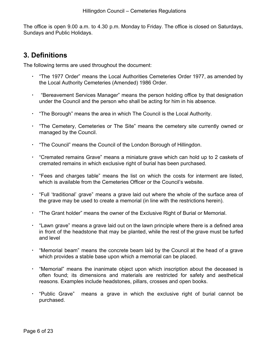The office is open 9.00 a.m. to 4.30 p.m. Monday to Friday. The office is closed on Saturdays, Sundays and Public Holidays.

# **3. Definitions**

The following terms are used throughout the document:

- "The 1977 Order" means the Local Authorities Cemeteries Order 1977, as amended by the Local Authority Cemeteries (Amended) 1986 Order.
- "Bereavement Services Manager" means the person holding office by that designation under the Council and the person who shall be acting for him in his absence.
- "The Borough" means the area in which The Council is the Local Authority.
- "The Cemetery, Cemeteries or The Site" means the cemetery site currently owned or managed by the Council.
- "The Council" means the Council of the London Borough of Hillingdon.
- "Cremated remains Grave" means a miniature grave which can hold up to 2 caskets of cremated remains in which exclusive right of burial has been purchased.
- "Fees and charges table" means the list on which the costs for interment are listed, which is available from the Cemeteries Officer or the Council's website.
- "Full 'traditional' grave" means a grave laid out where the whole of the surface area of the grave may be used to create a memorial (in line with the restrictions herein).
- "The Grant holder" means the owner of the Exclusive Right of Burial or Memorial.
- "Lawn grave" means a grave laid out on the lawn principle where there is a defined area in front of the headstone that may be planted, while the rest of the grave must be turfed and level
- "Memorial beam" means the concrete beam laid by the Council at the head of a grave which provides a stable base upon which a memorial can be placed.
- "Memorial" means the inanimate object upon which inscription about the deceased is often found; its dimensions and materials are restricted for safety and aesthetical reasons. Examples include headstones, pillars, crosses and open books.
- "Public Grave" means a grave in which the exclusive right of burial cannot be purchased.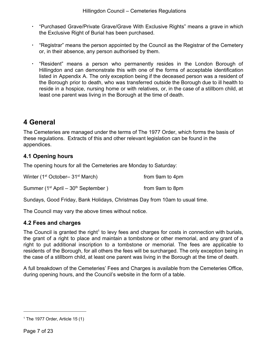- "Purchased Grave/Private Grave/Grave With Exclusive Rights" means a grave in which the Exclusive Right of Burial has been purchased.
- "Registrar" means the person appointed by the Council as the Registrar of the Cemetery or, in their absence, any person authorised by them.
- "Resident" means a person who permanently resides in the London Borough of Hillingdon and can demonstrate this with one of the forms of acceptable identification listed in Appendix A. The only exception being if the deceased person was a resident of the Borough prior to death, who was transferred outside the Borough due to ill health to reside in a hospice, nursing home or with relatives, or, in the case of a stillborn child, at least one parent was living in the Borough at the time of death.

# **4 General**

The Cemeteries are managed under the terms of The 1977 Order, which forms the basis of these regulations. Extracts of this and other relevant legislation can be found in the appendices.

#### **4.1 Opening hours**

The opening hours for all the Cemeteries are Monday to Saturday:

| Winter (1 <sup>st</sup> October– 31 <sup>st</sup> March) | from 9am to 4pm |
|----------------------------------------------------------|-----------------|
| Summer $(1st$ April – $30th$ September)                  | from 9am to 8pm |

Sundays, Good Friday, Bank Holidays, Christmas Day from 10am to usual time.

<span id="page-6-0"></span>The Council may vary the above times without notice.

#### **4.2 Fees and charges**

The Council is granted the right<sup>1</sup> to levy fees and charges for costs in connection with burials, the grant of a right to place and maintain a tombstone or other memorial, and any grant of a right to put additional inscription to a tombstone or memorial. The fees are applicable to residents of the Borough, for all others the fees will be surcharged. The only exception being in the case of a stillborn child, at least one parent was living in the Borough at the time of death.

A full breakdown of the Cemeteries' Fees and Charges is available from the Cemeteries Office, during opening hours, and the Council's website in the form of a table.

 $1$  The 1977 Order, Article 15 (1)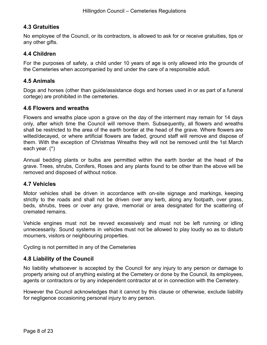#### **4.3 Gratuities**

No employee of the Council, or its contractors, is allowed to ask for or receive gratuities, tips or any other gifts.

#### **4.4 Children**

For the purposes of safety, a child under 10 years of age is only allowed into the grounds of the Cemeteries when accompanied by and under the care of a responsible adult.

#### **4.5 Animals**

Dogs and horses (other than guide/assistance dogs and horses used in or as part of a funeral cortege) are prohibited in the cemeteries.

#### **4.6 Flowers and wreaths**

Flowers and wreaths place upon a grave on the day of the interment may remain for 14 days only, after which time the Council will remove them. Subsequently, all flowers and wreaths shall be restricted to the area of the earth border at the head of the grave. Where flowers are wilted/decayed, or where artificial flowers are faded, ground staff will remove and dispose of them. With the exception of Christmas Wreaths they will not be removed until the 1st March each year. (\*)

<span id="page-7-0"></span>Annual bedding plants or bulbs are permitted within the earth border at the head of the grave. Trees, shrubs, Conifers, Roses and any plants found to be other than the above will be removed and disposed of without notice.

#### **4.7 Vehicles**

Motor vehicles shall be driven in accordance with on-site signage and markings, keeping strictly to the roads and shall not be driven over any kerb, along any footpath, over grass, beds, shrubs, trees or over any grave, memorial or area designated for the scattering of cremated remains.

Vehicle engines must not be revved excessively and must not be left running or idling unnecessarily. Sound systems in vehicles must not be allowed to play loudly so as to disturb mourners, visitors or neighbouring properties.

<span id="page-7-1"></span>Cycling is not permitted in any of the Cemeteries

#### **4.8 Liability of the Council**

No liability whatsoever is accepted by the Council for any injury to any person or damage to property arising out of anything existing at the Cemetery or done by the Council, its employees, agents or contractors or by any independent contractor at or in connection with the Cemetery.

However the Council acknowledges that it cannot by this clause or otherwise, exclude liability for negligence occasioning personal injury to any person.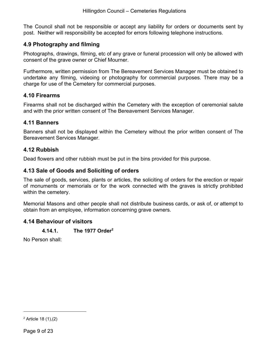The Council shall not be responsible or accept any liability for orders or documents sent by post. Neither will responsibility be accepted for errors following telephone instructions.

#### **4.9 Photography and filming**

Photographs, drawings, filming, etc of any grave or funeral procession will only be allowed with consent of the grave owner or Chief Mourner.

Furthermore, written permission from The Bereavement Services Manager must be obtained to undertake any filming, videoing or photography for commercial purposes. There may be a charge for use of the Cemetery for commercial purposes.

#### **4.10 Firearms**

Firearms shall not be discharged within the Cemetery with the exception of ceremonial salute and with the prior written consent of The Bereavement Services Manager.

#### **4.11 Banners**

Banners shall not be displayed within the Cemetery without the prior written consent of The Bereavement Services Manager.

#### **4.12 Rubbish**

<span id="page-8-0"></span>Dead flowers and other rubbish must be put in the bins provided for this purpose.

#### **4.13 Sale of Goods and Soliciting of orders**

The sale of goods, services, plants or articles, the soliciting of orders for the erection or repair of monuments or memorials or for the work connected with the graves is strictly prohibited within the cemetery.

<span id="page-8-1"></span>Memorial Masons and other people shall not distribute business cards, or ask of, or attempt to obtain from an employee, information concerning grave owners.

#### <span id="page-8-2"></span>**4.14 Behaviour of visitors**

#### **4.14.1. The 1977 Order<sup>2</sup>**

No Person shall:

 $2$  Article 18 (1), (2)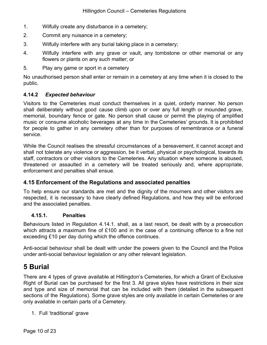- 1. Wilfully create any disturbance in a cemetery;
- 2. Commit any nuisance in a cemetery;
- 3. Wilfully interfere with any burial taking place in a cemetery;
- 4. Wilfully interfere with any grave or vault, any tombstone or other memorial or any flowers or plants on any such matter; or
- 5. Play any game or sport in a cemetery

No unauthorised person shall enter or remain in a cemetery at any time when it is closed to the public.

#### **4.14.2** *Expected behaviour*

Visitors to the Cemeteries must conduct themselves in a quiet, orderly manner. No person shall deliberately without good cause climb upon or over any full length or mounded grave, memorial, boundary fence or gate. No person shall cause or permit the playing of amplified music or consume alcoholic beverages at any time in the Cemeteries' grounds. It is prohibited for people to gather in any cemetery other than for purposes of remembrance or a funeral service.

While the Council realises the stressful circumstances of a bereavement, it cannot accept and shall not tolerate any violence or aggression, be it verbal, physical or psychological, towards its staff, contractors or other visitors to the Cemeteries. Any situation where someone is abused, threatened or assaulted in a cemetery will be treated seriously and, where appropriate, enforcement and penalties shall ensue.

#### **4.15 Enforcement of the Regulations and associated penalties**

<span id="page-9-0"></span>To help ensure our standards are met and the dignity of the mourners and other visitors are respected, it is necessary to have clearly defined Regulations, and how they will be enforced and the associated penalties.

#### **4.15.1. Penalties**

Behaviours listed in Regulation 4.14.1. shall, as a last resort, be dealt with by a prosecution which attracts a maximum fine of £100 and in the case of a continuing offence to a fine not exceeding £10 per day during which the offence continues.

<span id="page-9-1"></span>Anti-social behaviour shall be dealt with under the powers given to the Council and the Police under anti-social behaviour legislation or any other relevant legislation.

### **5 Burial**

There are 4 types of grave available at Hillingdon's Cemeteries, for which a Grant of Exclusive Right of Burial can be purchased for the first 3. All grave styles have restrictions in their size and type and size of memorial that can be included with them (detailed in the subsequent sections of the Regulations). Some grave styles are only available in certain Cemeteries or are only available in certain parts of a Cemetery.

1. Full 'traditional' grave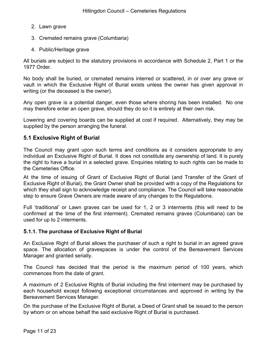- 2. Lawn grave
- 3. Cremated remains grave (Columbaria)
- 4. Public/Heritage grave

All burials are subject to the statutory provisions in accordance with Schedule 2, Part 1 or the 1977 Order.

No body shall be buried, or cremated remains interred or scattered, in or over any grave or vault in which the Exclusive Right of Burial exists unless the owner has given approval in writing (or the deceased is the owner).

Any open grave is a potential danger, even those where shoring has been installed. No one may therefore enter an open grave, should they do so it is entirely at their own risk.

Lowering and covering boards can be supplied at cost if required. Alternatively, they may be supplied by the person arranging the funeral.

#### **5.1 Exclusive Right of Burial**

The Council may grant upon such terms and conditions as it considers appropriate to any individual an Exclusive Right of Burial. It does not constitute any ownership of land. It is purely the right to have a burial in a selected grave. Enquiries relating to such rights can be made to the Cemeteries Office.

At the time of issuing of Grant of Exclusive Right of Burial (and Transfer of the Grant of Exclusive Right of Burial), the Grant Owner shall be provided with a copy of the Regulations for which they shall sign to acknowledge receipt and compliance. The Council will take reasonable step to ensure Grave Owners are made aware of any changes to the Regulations.

<span id="page-10-0"></span>Full 'traditional' or Lawn graves can be used for 1, 2 or 3 interments (this will need to be confirmed at the time of the first interment). Cremated remains graves (Columbaria) can be used for up to 2 interments.

#### **5.1.1***.* **The purchase of Exclusive Right of Burial**

An Exclusive Right of Burial allows the purchaser of such a right to burial in an agreed grave space. The allocation of gravespaces is under the control of the Bereavement Services Manager and granted serially.

The Council has decided that the period is the maximum period of 100 years, which commences from the date of grant.

A maximum of 2 Exclusive Rights of Burial including the first interment may be purchased by each household except following exceptional circumstances and approved in writing by the Bereavement Services Manager.

On the purchase of the Exclusive Right of Burial, a Deed of Grant shall be issued to the person by whom or on whose behalf the said exclusive Right of Burial is purchased.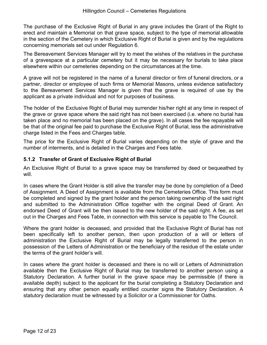The purchase of the Exclusive Right of Burial in any grave includes the Grant of the Right to erect and maintain a Memorial on that grave space, subject to the type of memorial allowable in the section of the Cemetery in which Exclusive Right of Burial is given and by the regulations concerning memorials set out under Regulation 6.

The Bereavement Services Manager will try to meet the wishes of the relatives in the purchase of a gravespace at a particular cemetery but it may be necessary for burials to take place elsewhere within our cemeteries depending on the circumstances at the time.

A grave will not be registered in the name of a funeral director or firm of funeral directors, or a partner, director or employee of such firms or Memorial Masons, unless evidence satisfactory to the Bereavement Services Manager is given that the grave is required of use by the applicant as a private individual and not for purposes of business.

The holder of the Exclusive Right of Burial may surrender his/her right at any time in respect of the grave or grave space where the said right has not been exercised (i.e. where no burial has taken place and no memorial has been placed on the grave). In all cases the fee repayable will be that of the original fee paid to purchase the Exclusive Right of Burial, less the administrative charge listed in the Fees and Charges table.

<span id="page-11-0"></span>The price for the Exclusive Right of Burial varies depending on the style of grave and the number of interments, and is detailed in the Charges and Fees table.

#### **5.1.2 Transfer of Grant of Exclusive Right of Burial**

An Exclusive Right of Burial to a grave space may be transferred by deed or bequeathed by will.

In cases where the Grant Holder is still alive the transfer may be done by completion of a Deed of Assignment. A Deed of Assignment is available from the Cemeteries Office. This form must be completed and signed by the grant holder and the person taking ownership of the said right and submitted to the Administration Office together with the original Deed of Grant. An endorsed Deed of Grant will be then issued to the new holder of the said right. A fee, as set out in the Charges and Fees Table, in connection with this service is payable to The Council.

Where the grant holder is deceased, and provided that the Exclusive Right of Burial has not been specifically left to another person, then upon production of a will or letters of administration the Exclusive Right of Burial may be legally transferred to the person in possession of the Letters of Administration or the beneficiary of the residue of the estate under the terms of the grant holder's will.

In cases where the grant holder is deceased and there is no will or Letters of Administration available then the Exclusive Right of Burial may be transferred to another person using a Statutory Declaration. A further burial in the grave space may be permissible (if there is available depth) subject to the applicant for the burial completing a Statutory Declaration and ensuring that any other person equally entitled counter signs the Statutory Declaration. A statutory declaration must be witnessed by a Solicitor or a Commissioner for Oaths.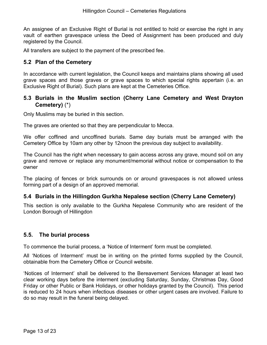An assignee of an Exclusive Right of Burial is not entitled to hold or exercise the right in any vault of earthen gravespace unless the Deed of Assignment has been produced and duly registered by the Council.

<span id="page-12-0"></span>All transfers are subject to the payment of the prescribed fee.

#### **5.2 Plan of the Cemetery**

<span id="page-12-1"></span>In accordance with current legislation, the Council keeps and maintains plans showing all used grave spaces and those graves or grave spaces to which special rights appertain (i.e. an Exclusive Right of Burial). Such plans are kept at the Cemeteries Office.

#### **5.3 Burials in the Muslim section (Cherry Lane Cemetery and West Drayton Cemetery)** (\*)

Only Muslims may be buried in this section.

The graves are oriented so that they are perpendicular to Mecca.

We offer coffined and uncoffined burials. Same day burials must be arranged with the Cemetery Office by 10am any other by 12noon the previous day subject to availability.

The Council has the right when necessary to gain access across any grave, mound soil on any grave and remove or replace any monument/memorial without notice or compensation to the owner

The placing of fences or brick surrounds on or around gravespaces is not allowed unless forming part of a design of an approved memorial.

#### **5.4 Burials in the Hillingdon Gurkha Nepalese section (Cherry Lane Cemetery)**

This section is only available to the Gurkha Nepalese Community who are resident of the London Borough of Hillingdon

#### **5.5. The burial process**

To commence the burial process, a 'Notice of Interment' form must be completed.

All 'Notices of Interment' must be in writing on the printed forms supplied by the Council, obtainable from the Cemetery Office or Council website.

'Notices of Interment' shall be delivered to the Bereavement Services Manager at least two clear working days before the interment (excluding Saturday, Sunday, Christmas Day, Good Friday or other Public or Bank Holidays, or other holidays granted by the Council). This period is reduced to 24 hours when infectious diseases or other urgent cases are involved. Failure to do so may result in the funeral being delayed.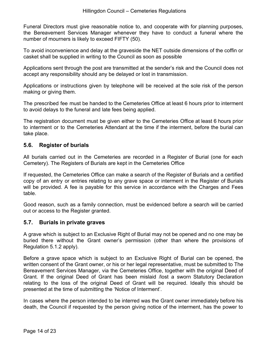Funeral Directors must give reasonable notice to, and cooperate with for planning purposes, the Bereavement Services Manager whenever they have to conduct a funeral where the number of mourners is likely to exceed FIFTY (50).

To avoid inconvenience and delay at the graveside the NET outside dimensions of the coffin or casket shall be supplied in writing to the Council as soon as possible

Applications sent through the post are transmitted at the sender's risk and the Council does not accept any responsibility should any be delayed or lost in transmission.

Applications or instructions given by telephone will be received at the sole risk of the person making or giving them.

The prescribed fee must be handed to the Cemeteries Office at least 6 hours prior to interment to avoid delays to the funeral and late fees being applied.

<span id="page-13-0"></span>The registration document must be given either to the Cemeteries Office at least 6 hours prior to interment or to the Cemeteries Attendant at the time if the interment, before the burial can take place.

#### **5.6. Register of burials**

All burials carried out in the Cemeteries are recorded in a Register of Burial (one for each Cemetery). The Registers of Burials are kept in the Cemeteries Office

If requested, the Cemeteries Office can make a search of the Register of Burials and a certified copy of an entry or entries relating to any grave space or interment in the Register of Burials will be provided. A fee is payable for this service in accordance with the Charges and Fees table.

<span id="page-13-1"></span>Good reason, such as a family connection, must be evidenced before a search will be carried out or access to the Register granted.

#### **5.7. Burials in private graves**

A grave which is subject to an Exclusive Right of Burial may not be opened and no one may be buried there without the Grant owner's permission (other than where the provisions of Regulation 5.1.2 apply).

Before a grave space which is subject to an Exclusive Right of Burial can be opened, the written consent of the Grant owner, or his or her legal representative, must be submitted to The Bereavement Services Manager, via the Cemeteries Office, together with the original Deed of Grant. If the original Deed of Grant has been mislaid /lost a sworn Statutory Declaration relating to the loss of the original Deed of Grant will be required. Ideally this should be presented at the time of submitting the 'Notice of Interment'.

In cases where the person intended to be interred was the Grant owner immediately before his death, the Council if requested by the person giving notice of the interment, has the power to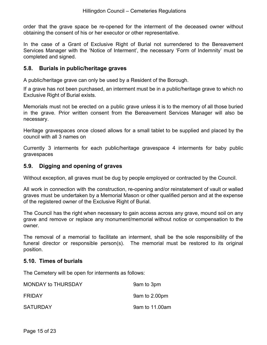order that the grave space be re-opened for the interment of the deceased owner without obtaining the consent of his or her executor or other representative.

<span id="page-14-0"></span>In the case of a Grant of Exclusive Right of Burial not surrendered to the Bereavement Services Manager with the 'Notice of Interment', the necessary 'Form of Indemnity' must be completed and signed.

#### **5.8. Burials in public/heritage graves**

A public/heritage grave can only be used by a Resident of the Borough.

If a grave has not been purchased, an interment must be in a public/heritage grave to which no Exclusive Right of Burial exists.

Memorials must not be erected on a public grave unless it is to the memory of all those buried in the grave. Prior written consent from the Bereavement Services Manager will also be necessary.

Heritage gravespaces once closed allows for a small tablet to be supplied and placed by the council with all 3 names on

<span id="page-14-1"></span>Currently 3 interments for each public/heritage gravespace 4 interments for baby public gravespaces

#### **5.9. Digging and opening of graves**

Without exception, all graves must be dug by people employed or contracted by the Council.

All work in connection with the construction, re-opening and/or reinstatement of vault or walled graves must be undertaken by a Memorial Mason or other qualified person and at the expense of the registered owner of the Exclusive Right of Burial.

The Council has the right when necessary to gain access across any grave, mound soil on any grave and remove or replace any monument/memorial without notice or compensation to the owner.

<span id="page-14-2"></span>The removal of a memorial to facilitate an interment, shall be the sole responsibility of the funeral director or responsible person(s). The memorial must be restored to its original position.

#### **5.10. Times of burials**

The Cemetery will be open for interments as follows:

| <b>MONDAY to THURSDAY</b> | 9am to 3pm     |
|---------------------------|----------------|
| <b>FRIDAY</b>             | 9am to 2.00pm  |
| <b>SATURDAY</b>           | 9am to 11,00am |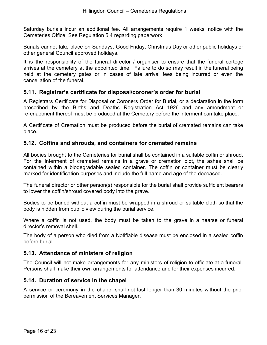Saturday burials incur an additional fee. All arrangements require 1 weeks' notice with the Cemeteries Office. See Regulation 5.4 regarding paperwork

Burials cannot take place on Sundays, Good Friday, Christmas Day or other public holidays or other general Council approved holidays.

<span id="page-15-0"></span>It is the responsibility of the funeral director / organiser to ensure that the funeral cortege arrives at the cemetery at the appointed time. Failure to do so may result in the funeral being held at the cemetery gates or in cases of late arrival fees being incurred or even the cancellation of the funeral.

#### **5.11. Registrar's certificate for disposal/coroner's order for burial**

A Registrars Certificate for Disposal or Coroners Order for Burial, or a declaration in the form prescribed by the Births and Deaths Registration Act 1926 and any amendment or re-enactment thereof must be produced at the Cemetery before the interment can take place.

<span id="page-15-1"></span>A Certificate of Cremation must be produced before the burial of cremated remains can take place.

#### **5.12. Coffins and shrouds, and containers for cremated remains**

All bodies brought to the Cemeteries for burial shall be contained in a suitable coffin or shroud. For the interment of cremated remains in a grave or cremation plot, the ashes shall be contained within a biodegradable sealed container. The coffin or container must be clearly marked for identification purposes and include the full name and age of the deceased.

The funeral director or other person(s) responsible for the burial shall provide sufficient bearers to lower the coffin/shroud covered body into the grave.

Bodies to be buried without a coffin must be wrapped in a shroud or suitable cloth so that the body is hidden from public view during the burial service.

Where a coffin is not used, the body must be taken to the grave in a hearse or funeral director's removal shell.

<span id="page-15-2"></span>The body of a person who died from a Notifiable disease must be enclosed in a sealed coffin before burial.

#### **5.13. Attendance of ministers of religion**

<span id="page-15-3"></span>The Council will not make arrangements for any ministers of religion to officiate at a funeral. Persons shall make their own arrangements for attendance and for their expenses incurred.

#### **5.14. Duration of service in the chapel**

<span id="page-15-4"></span>A service or ceremony in the chapel shall not last longer than 30 minutes without the prior permission of the Bereavement Services Manager.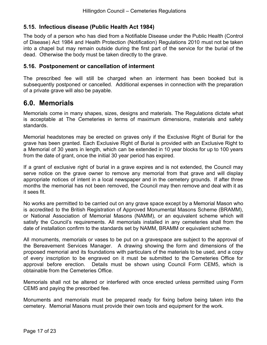#### **5.15. Infectious disease (Public Health Act 1984)**

<span id="page-16-0"></span>The body of a person who has died from a Notifiable Disease under the Public Health (Control of Disease) Act 1984 and Health Protection (Notification) Regulations 2010 must not be taken into a chapel but may remain outside during the first part of the service for the burial of the dead. Otherwise the body must be taken directly to the grave.

#### **5.16. Postponement or cancellation of interment**

<span id="page-16-1"></span>The prescribed fee will still be charged when an interment has been booked but is subsequently postponed or cancelled. Additional expenses in connection with the preparation of a private grave will also be payable.

#### **6.0. Memorials**

Memorials come in many shapes, sizes, designs and materials. The Regulations dictate what is acceptable at The Cemeteries in terms of maximum dimensions, materials and safety standards.

Memorial headstones may be erected on graves only if the Exclusive Right of Burial for the grave has been granted. Each Exclusive Right of Burial is provided with an Exclusive Right to a Memorial of 30 years in length, which can be extended in 10 year blocks for up to 100 years from the date of grant, once the initial 30 year period has expired.

If a grant of exclusive right of burial in a grave expires and is not extended, the Council may serve notice on the grave owner to remove any memorial from that grave and will display appropriate notices of intent in a local newspaper and in the cemetery grounds. If after three months the memorial has not been removed, the Council may then remove and deal with it as it sees fit.

No works are permitted to be carried out on any grave space except by a Memorial Mason who is accredited to the British Registration of Approved Monumental Masons Scheme (BRAMM), or National Association of Memorial Masons (NAMM), or an equivalent scheme which will satisfy the Council's requirements. All memorials installed in any cemeteries shall from the date of installation confirm to the standards set by NAMM, BRAMM or equivalent scheme.

All monuments, memorials or vases to be put on a gravespace are subject to the approval of the Bereavement Services Manager. A drawing showing the form and dimensions of the proposed memorial and its foundations with particulars of the materials to be used, and a copy of every inscription to be engraved on it must be submitted to the Cemeteries Office for approval before erection. Details must be shown using Council Form CEM5, which is obtainable from the Cemeteries Office.

Memorials shall not be altered or interfered with once erected unless permitted using Form CEM5 and paying the prescribed fee.

Monuments and memorials must be prepared ready for fixing before being taken into the cemetery. Memorial Masons must provide their own tools and equipment for the work.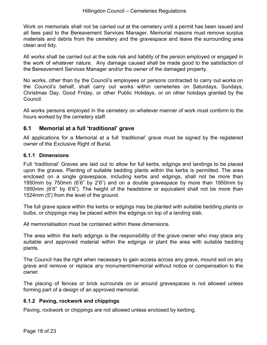Work on memorials shall not be carried out at the cemetery until a permit has been issued and all fees paid to the Bereavement Services Manager. Memorial masons must remove surplus materials and debris from the cemetery and the gravespace and leave the surrounding area clean and tidy.

All works shall be carried out at the sole risk and liability of the person employed or engaged in the work of whatever nature. Any damage caused shall be made good to the satisfaction of the Bereavement Services Manager and/or the owner of the damaged property.

No works, other than by the Council's employees or persons contracted to carry out works on the Council's behalf, shall carry out works within cemeteries on Saturdays, Sundays, Christmas Day, Good Friday, or other Public Holidays, or on other holidays granted by the Council.

All works persons employed in the cemetery on whatever manner of work must conform to the hours worked by the cemetery staff.

#### **6.1 Memorial at a full 'traditional' grave**

<span id="page-17-0"></span>All applications for a Memorial at a full 'traditional' grave must be signed by the registered owner of the Exclusive Right of Burial.

#### **6.1.1 Dimensions**

Full 'traditional' Graves are laid out to allow for full kerbs, edgings and landings to be placed upon the graves. Planting of suitable bedding plants within the kerbs is permitted. The area enclosed on a single gravespace, including kerbs and edgings, shall not be more than 1950mm by 750mm (6'6" by 2'6") and on a double gravespace by more than 1950mm by 1950mm (6'6" by 6'6"). The height of the headstone or equivalent shall not be more than 1524mm (5') from the level of the ground.

The full grave space within the kerbs or edgings may be planted with suitable bedding plants or bulbs, or chippings may be placed within the edgings on top of a landing slab.

All memorialisation must be contained within these dimensions.

The area within the kerb edgings is the responsibility of the grave owner who may place any suitable and approved material within the edgings or plant the area with suitable bedding plants.

The Council has the right when necessary to gain access across any grave, mound soil on any grave and remove or replace any monument/memorial without notice or compensation to the owner.

<span id="page-17-1"></span>The placing of fences or brick surrounds on or around gravespaces is not allowed unless forming part of a design of an approved memorial.

#### **6.1.2 Paving, rockwork and chippings**

<span id="page-17-2"></span>Paving, rockwork or chippings are not allowed unless enclosed by kerbing.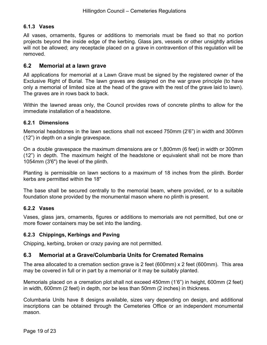#### **6.1.3 Vases**

<span id="page-18-0"></span>All vases, ornaments, figures or additions to memorials must be fixed so that no portion projects beyond the inside edge of the kerbing. Glass jars, vessels or other unsightly articles will not be allowed; any receptacle placed on a grave in contravention of this regulation will be removed.

#### **6.2 Memorial at a lawn grave**

All applications for memorial at a Lawn Grave must be signed by the registered owner of the Exclusive Right of Burial. The lawn graves are designed on the war grave principle (to have only a memorial of limited size at the head of the grave with the rest of the grave laid to lawn). The graves are in rows back to back.

<span id="page-18-1"></span>Within the lawned areas only, the Council provides rows of concrete plinths to allow for the immediate installation of a headstone.

#### **6.2.1 Dimensions**

Memorial headstones in the lawn sections shall not exceed 750mm (2'6") in width and 300mm (12") in depth on a single gravespace.

On a double gravespace the maximum dimensions are or 1,800mm (6 feet) in width or 300mm (12") in depth. The maximum height of the headstone or equivalent shall not be more than 1054mm (3'6") the level of the plinth.

Planting is permissible on lawn sections to a maximum of 18 inches from the plinth. Border kerbs are permitted within the 18"

<span id="page-18-2"></span>The base shall be secured centrally to the memorial beam, where provided, or to a suitable foundation stone provided by the monumental mason where no plinth is present.

#### **6.2.2 Vases**

<span id="page-18-3"></span>Vases, glass jars, ornaments, figures or additions to memorials are not permitted, but one or more flower containers may be set into the landing.

#### **6.2.3 Chippings, Kerbings and Paving**

<span id="page-18-4"></span>Chipping, kerbing, broken or crazy paving are not permitted.

#### **6.3 Memorial at a Grave/Columbaria Units for Cremated Remains**

The area allocated to a cremation section grave is 2 feet (600mm) x 2 feet (600mm). This area may be covered in full or in part by a memorial or it may be suitably planted.

Memorials placed on a cremation plot shall not exceed 450mm (1'6") in height, 600mm (2 feet) in width, 600mm (2 feet) in depth, nor be less than 50mm (2 inches) in thickness.

Columbaria Units have 8 designs available, sizes vary depending on design, and additional inscriptions can be obtained through the Cemeteries Office or an independent monumental mason.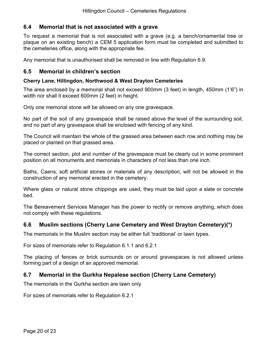#### **6.4 Memorial that is not associated with a grave**

To request a memorial that is not associated with a grave (e.g. a bench/ornamental tree or plaque on an existing bench) a CEM 5 application form must be completed and submitted to the cemeteries office, along with the appropriate fee.

Any memorial that is unauthorised shall be removed in line with Regulation 6.9.

#### **6.5 Memorial in children's section**

#### **Cherry Lane, Hillingdon, Northwood & West Drayton Cemeteries**

The area enclosed by a memorial shall not exceed 900mm (3 feet) in length, 450mm (1'6") in width nor shall it exceed 600mm (2 feet) in height.

Only one memorial stone will be allowed on any one gravespace.

No part of the soil of any gravespace shall be raised above the level of the surrounding soil, and no part of any gravespace shall be enclosed with fencing of any kind.

The Council will maintain the whole of the grassed area between each row and nothing may be placed or planted on that grassed area.

The correct section, plot and number of the gravespace must be clearly cut in some prominent position on all monuments and memorials in characters of not less than one inch.

Baths, Caens, soft artificial stones or materials of any description, will not be allowed in the construction of any memorial erected in the cemetery.

Where glass or natural stone chippings are used, they must be laid upon a slate or concrete bed.

The Bereavement Services Manager has the power to rectify or remove anything, which does not comply with these regulations.

#### **6.6 Muslim sections (Cherry Lane Cemetery and West Drayton Cemetery)(\*)**

The memorials in the Muslim section may be either full 'traditional' or lawn types.

For sizes of memorials refer to Regulation 6.1.1 and 6.2.1

The placing of fences or brick surrounds on or around gravespaces is not allowed unless forming part of a design of an approved memorial.

#### **6.7 Memorial in the Gurkha Nepalese section (Cherry Lane Cemetery)**

The memorials in the Gurkha section are lawn only

For sizes of memorials refer to Regulation 6.2.1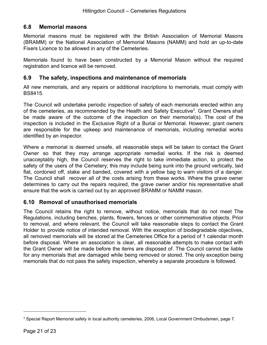#### **6.8 Memorial masons**

Memorial masons must be registered with the British Association of Memorial Masons (BRAMM) or the National Association of Memorial Masons (NAMM) and hold an up-to-date Fixers Licence to be allowed in any of the Cemeteries.

<span id="page-20-0"></span>Memorials found to have been constructed by a Memorial Mason without the required registration and licence will be removed.

#### **6.9 The safety, inspections and maintenance of memorials**

All new memorials, and any repairs or additional inscriptions to memorials, must comply with BS8415.

The Council will undertake periodic inspection of safety of each memorials erected within any of the cemeteries, as recommended by the Health and Safety Executive<sup>3</sup>. Grant Owners shall be made aware of the outcome of the inspection on their memorial(s). The cost of the inspection is included in the Exclusive Right of a Burial or Memorial. However, grant owners are responsible for the upkeep and maintenance of memorials, including remedial works identified by an inspector.

<span id="page-20-1"></span>Where a memorial is deemed unsafe, all reasonable steps will be taken to contact the Grant Owner so that they may arrange appropriate remedial works. If the risk is deemed unacceptably high, the Council reserves the right to take immediate action, to protect the safety of the users of the Cemetery; this may include being sunk into the ground vertically, laid flat, cordoned off, stake and banded, covered with a yellow bag to warn visitors of a danger. The Council shall recover all of the costs arising from these works. Where the grave owner determines to carry out the repairs required, the grave owner and/or his representative shall ensure that the work is carried out by an approved BRAMM or NAMM mason.

#### **6.10 Removal of unauthorised memorials**

<span id="page-20-2"></span>The Council retains the right to remove, without notice, memorials that do not meet The Regulations, including benches, plants, flowers, fences or other commemorative objects. Prior to removal, and where relevant, the Council will take reasonable steps to contact the Grant Holder to provide notice of intended removal. With the exception of biodegradable objectives, all removed memorials will be stored at the Cemeteries Office for a period of 1 calendar month before disposal. Where an association is clear, all reasonable attempts to make contact with the Grant Owner will be made before the items are disposed of. The Council cannot be liable for any memorials that are damaged while being removed or stored. The only exception being memorials that do not pass the safety inspection, whereby a separate procedure is followed.

<sup>&</sup>lt;sup>3</sup> Special Report Memorial safety in local authority cemeteries, 2006, Local Government Ombudsmen, page 7.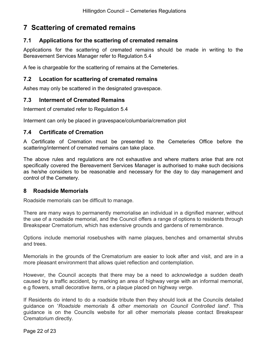# **7 Scattering of cremated remains**

#### <span id="page-21-0"></span>**7.1 Applications for the scattering of cremated remains**

Applications for the scattering of cremated remains should be made in writing to the Bereavement Services Manager refer to Regulation 5.4

<span id="page-21-1"></span>A fee is chargeable for the scattering of remains at the Cemeteries.

#### **7.2 Location for scattering of cremated remains**

Ashes may only be scattered in the designated gravespace.

#### **7.3 Interment of Cremated Remains**

Interment of cremated refer to Regulation 5.4

Interment can only be placed in gravespace/columbaria/cremation plot

#### **7.4 Certificate of Cremation**

A Certificate of Cremation must be presented to the Cemeteries Office before the scattering/interment of cremated remains can take place.

The above rules and regulations are not exhaustive and where matters arise that are not specifically covered the Bereavement Services Manager is authorised to make such decisions as he/she considers to be reasonable and necessary for the day to day management and control of the Cemetery.

#### **8 Roadside Memorials**

Roadside memorials can be difficult to manage.

There are many ways to permanently memorialise an individual in a dignified manner, without the use of a roadside memorial, and the Council offers a range of options to residents through Breakspear Crematorium, which has extensive grounds and gardens of remembrance.

Options include memorial rosebushes with name plaques, benches and ornamental shrubs and trees.

Memorials in the grounds of the Crematorium are easier to look after and visit, and are in a more pleasant environment that allows quiet reflection and contemplation.

However, the Council accepts that there may be a need to acknowledge a sudden death caused by a traffic accident, by marking an area of highway verge with an informal memorial, e.g flowers, small decorative items, or a plaque placed on highway verge.

If Residents do intend to do a roadside tribute then they should look at the Councils detailed guidance on '*Roadside memorials & other memorials on Council Controlled land*'. This guidance is on the Councils website for all other memorials please contact Breakspear Crematorium directly.